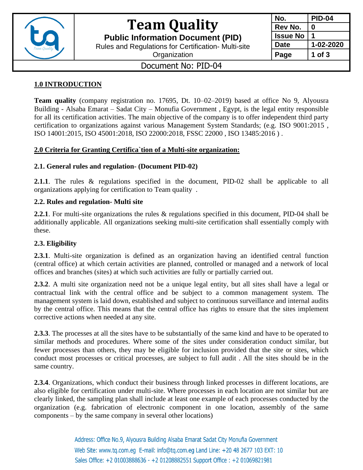

# **Team Quality**

**Public Information Document (PID)**

Rules and Regulations for Certification- Multi-site

**Organization** 

| <b>PID-04</b> |
|---------------|
| O             |
|               |
| 1-02-2020     |
| 1 of 3        |
|               |

## Document No: PID-04

## **1.0 INTRODUCTION**

**Team quality** (company registration no. 17695, Dt. 10–02–2019) based at office No 9, Alyousra Building - Alsaba Emarat – Sadat City – Monufia Government , Egypt, is the legal entity responsible for all its certification activities. The main objective of the company is to offer independent third party certification to organizations against various Management System Standards; (e.g. ISO 9001:2015 , ISO 14001:2015, ISO 45001:2018, ISO 22000:2018, FSSC 22000 , ISO 13485:2016 ) .

### **2.0 Criteria for Granting Certifica`tion of a Multi-site organization:**

## **2.1. General rules and regulation- (Document PID-02)**

**2.1.1**. The rules & regulations specified in the document, PID-02 shall be applicable to all organizations applying for certification to Team quality .

### **2.2. Rules and regulation- Multi site**

**2.2.1**. For multi-site organizations the rules & regulations specified in this document, PID-04 shall be additionally applicable. All organizations seeking multi-site certification shall essentially comply with these.

### **2.3. Eligibility**

**2.3.1**. Multi-site organization is defined as an organization having an identified central function (central office) at which certain activities are planned, controlled or managed and a network of local offices and branches (sites) at which such activities are fully or partially carried out.

**2.3.2**. A multi site organization need not be a unique legal entity, but all sites shall have a legal or contractual link with the central office and be subject to a common management system. The management system is laid down, established and subject to continuous surveillance and internal audits by the central office. This means that the central office has rights to ensure that the sites implement corrective actions when needed at any site.

**2.3.3**. The processes at all the sites have to be substantially of the same kind and have to be operated to similar methods and procedures. Where some of the sites under consideration conduct similar, but fewer processes than others, they may be eligible for inclusion provided that the site or sites, which conduct most processes or critical processes, are subject to full audit . All the sites should be in the same country.

**2.3.4**. Organizations, which conduct their business through linked processes in different locations, are also eligible for certification under multi-site. Where processes in each location are not similar but are clearly linked, the sampling plan shall include at least one example of each processes conducted by the organization (e.g. fabrication of electronic component in one location, assembly of the same components – by the same company in several other locations)

> Address: Office No.9, Alyousra Building Alsaba Emarat Sadat City Monufia Government Web Site: www.tq.com.eq E-mail: info@tq.com.eq Land Line: +20 48 2677 103 EXT: 10 Sales Office: +2 01003888636 - +2 01208882551 Support Office: +2 01069821981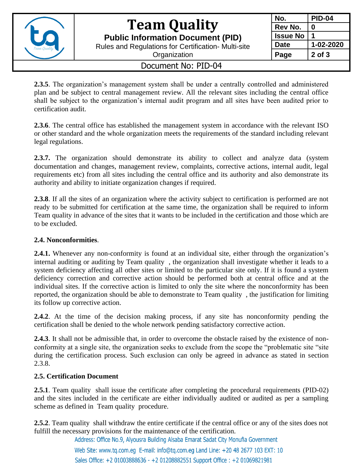

# **Team Quality**

**Public Information Document (PID)**

Rules and Regulations for Certification- Multi-site

**Organization** 

## **No. PID-04 Rev No. 0 Issue No 1 Date 1-02-2020** Page  $\vert$  2 of 3

## Document No: PID-04

**2.3.5**. The organization's management system shall be under a centrally controlled and administered plan and be subject to central management review. All the relevant sites including the central office shall be subject to the organization's internal audit program and all sites have been audited prior to certification audit.

**2.3.6**. The central office has established the management system in accordance with the relevant ISO or other standard and the whole organization meets the requirements of the standard including relevant legal regulations.

2.3.7. The organization should demonstrate its ability to collect and analyze data (system documentation and changes, management review, complaints, corrective actions, internal audit, legal requirements etc) from all sites including the central office and its authority and also demonstrate its authority and ability to initiate organization changes if required.

**2.3.8**. If all the sites of an organization where the activity subject to certification is performed are not ready to be submitted for certification at the same time, the organization shall be required to inform Team quality in advance of the sites that it wants to be included in the certification and those which are to be excluded.

### **2.4. Nonconformities**.

**2.4.1.** Whenever any non-conformity is found at an individual site, either through the organization's internal auditing or auditing by Team quality , the organization shall investigate whether it leads to a system deficiency affecting all other sites or limited to the particular site only. If it is found a system deficiency correction and corrective action should be performed both at central office and at the individual sites. If the corrective action is limited to only the site where the nonconformity has been reported, the organization should be able to demonstrate to Team quality , the justification for limiting its follow up corrective action.

**2.4.2**. At the time of the decision making process, if any site has nonconformity pending the certification shall be denied to the whole network pending satisfactory corrective action.

**2.4.3**. It shall not be admissible that, in order to overcome the obstacle raised by the existence of nonconformity at a single site, the organization seeks to exclude from the scope the "problematic site "site during the certification process. Such exclusion can only be agreed in advance as stated in section 2.3.8.

### **2.5. Certification Document**

**2.5.1**. Team quality shall issue the certificate after completing the procedural requirements (PID-02) and the sites included in the certificate are either individually audited or audited as per a sampling scheme as defined in Team quality procedure.

**2.5.2**. Team quality shall withdraw the entire certificate if the central office or any of the sites does not fulfill the necessary provisions for the maintenance of the certification.

Address: Office No.9, Alyousra Building Alsaba Emarat Sadat City Monufia Government

Web Site: www.tq.com.eq E-mail: info@tq.com.eq Land Line: +20 48 2677 103 EXT: 10 Sales Office: +2 01003888636 - +2 01208882551 Support Office: +2 01069821981